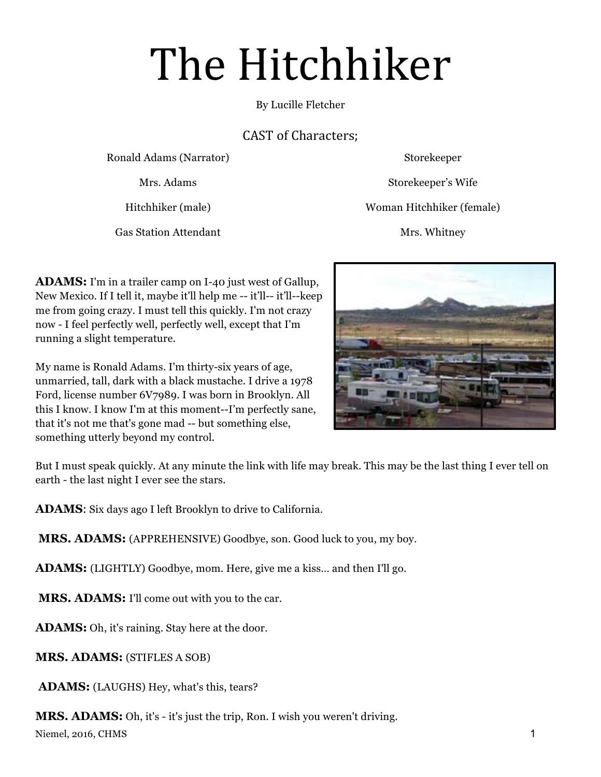# The Hitchhiker

By Lucille Fletcher

## CAST of Characters;

Ronald Adams (Narrator) Storekeeper

Gas Station Attendant Mrs. Whitney

Mrs. Adams Storekeeper's Wife

Hitchhiker (male) Woman Hitchhiker (female)

**ADAMS:** I'm in a trailer camp on I-40 just west of Gallup, New Mexico. If I tell it, maybe it'll help me -- it'll-- it'll--keep me from going crazy. I must tell this quickly. I'm not crazy now - I feel perfectly well, perfectly well, except that I'm running a slight temperature.

My name is Ronald Adams. I'm thirty-six years of age, unmarried, tall, dark with a black mustache. I drive a 1978 Ford, license number 6V7989. I was born in Brooklyn. All this I know. I know I'm at this moment--I'm perfectly sane, that it's not me that's gone mad -- but something else, something utterly beyond my control.



But I must speak quickly. At any minute the link with life may break. This may be the last thing I ever tell on earth - the last night I ever see the stars.

**ADAMS**: Six days ago I left Brooklyn to drive to California.

 **MRS. ADAMS:** (APPREHENSIVE) Goodbye, son. Good luck to you, my boy.

**ADAMS:** (LIGHTLY) Goodbye, mom. Here, give me a kiss… and then I'll go.

 **MRS. ADAMS:** I'll come out with you to the car.

**ADAMS:** Oh, it's raining. Stay here at the door.

**MRS. ADAMS:** (STIFLES A SOB)

 **ADAMS:** (LAUGHS) Hey, what's this, tears?

Niemel, 2016, CHMS 1 **MRS. ADAMS:** Oh, it's - it's just the trip, Ron. I wish you weren't driving.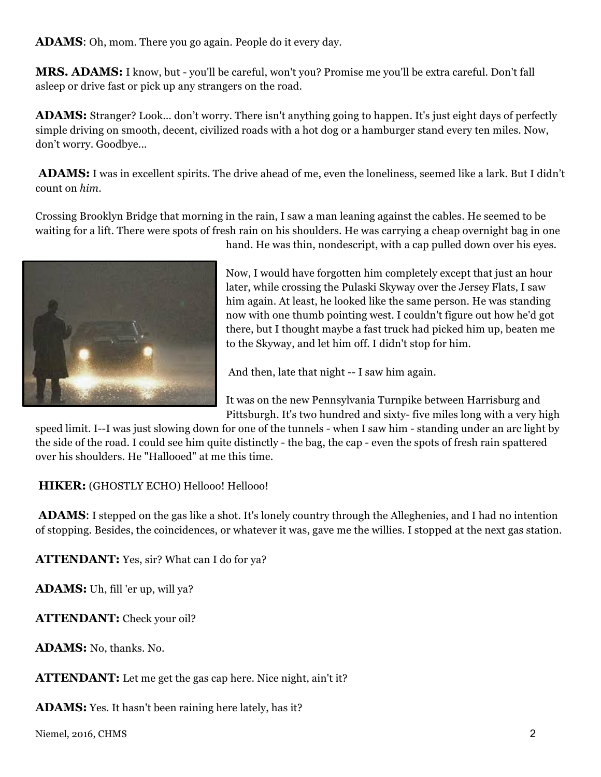**ADAMS**: Oh, mom. There you go again. People do it every day.

**MRS. ADAMS:** I know, but - you'll be careful, won't you? Promise me you'll be extra careful. Don't fall asleep or drive fast or pick up any strangers on the road.

**ADAMS:** Stranger? Look… don't worry. There isn't anything going to happen. It's just eight days of perfectly simple driving on smooth, decent, civilized roads with a hot dog or a hamburger stand every ten miles. Now, don't worry. Goodbye...

 **ADAMS:** I was in excellent spirits. The drive ahead of me, even the loneliness, seemed like a lark. But I didn't count on *him*.

Crossing Brooklyn Bridge that morning in the rain, I saw a man leaning against the cables. He seemed to be waiting for a lift. There were spots of fresh rain on his shoulders. He was carrying a cheap overnight bag in one



hand. He was thin, nondescript, with a cap pulled down over his eyes.

Now, I would have forgotten him completely except that just an hour later, while crossing the Pulaski Skyway over the Jersey Flats, I saw him again. At least, he looked like the same person. He was standing now with one thumb pointing west. I couldn't figure out how he'd got there, but I thought maybe a fast truck had picked him up, beaten me to the Skyway, and let him off. I didn't stop for him.

And then, late that night -- I saw him again.

It was on the new Pennsylvania Turnpike between Harrisburg and Pittsburgh. It's two hundred and sixty- five miles long with a very high

speed limit. I--I was just slowing down for one of the tunnels - when I saw him - standing under an arc light by the side of the road. I could see him quite distinctly - the bag, the cap - even the spots of fresh rain spattered over his shoulders. He "Hallooed" at me this time.

 **HIKER:** (GHOSTLY ECHO) Hellooo! Hellooo!

 **ADAMS**: I stepped on the gas like a shot. It's lonely country through the Alleghenies, and I had no intention of stopping. Besides, the coincidences, or whatever it was, gave me the willies. I stopped at the next gas station.

**ATTENDANT:** Yes, sir? What can I do for ya?

**ADAMS:** Uh, fill 'er up, will ya?

**ATTENDANT:** Check your oil?

**ADAMS:** No, thanks. No.

**ATTENDANT:** Let me get the gas cap here. Nice night, ain't it?

**ADAMS:** Yes. It hasn't been raining here lately, has it?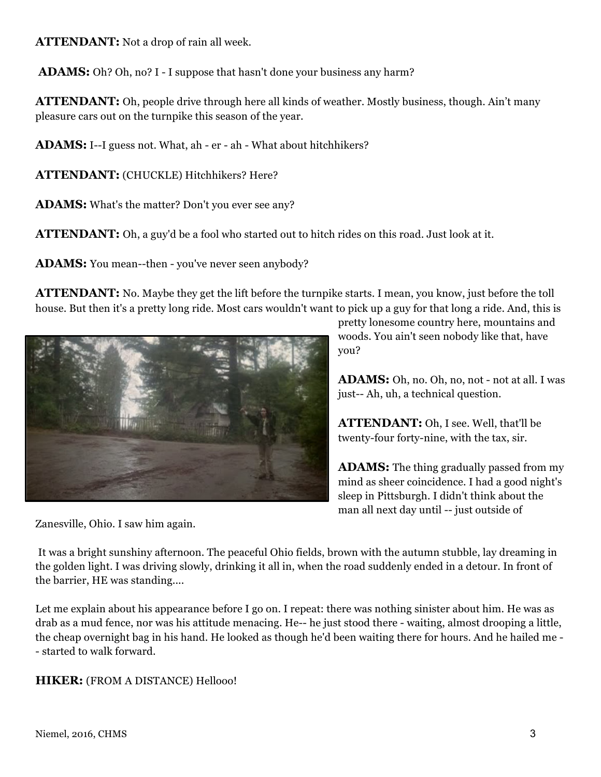**ATTENDANT:** Not a drop of rain all week.

**ADAMS:** Oh? Oh, no? I - I suppose that hasn't done your business any harm?

**ATTENDANT:** Oh, people drive through here all kinds of weather. Mostly business, though. Ain't many pleasure cars out on the turnpike this season of the year.

**ADAMS:** I--I guess not. What, ah - er - ah - What about hitchhikers?

**ATTENDANT:** (CHUCKLE) Hitchhikers? Here?

**ADAMS:** What's the matter? Don't you ever see any?

**ATTENDANT:** Oh, a guy'd be a fool who started out to hitch rides on this road. Just look at it.

**ADAMS:** You mean--then - you've never seen anybody?

**ATTENDANT:** No. Maybe they get the lift before the turnpike starts. I mean, you know, just before the toll house. But then it's a pretty long ride. Most cars wouldn't want to pick up a guy for that long a ride. And, this is



Zanesville, Ohio. I saw him again.

pretty lonesome country here, mountains and woods. You ain't seen nobody like that, have you?

**ADAMS:** Oh, no. Oh, no, not - not at all. I was just-- Ah, uh, a technical question.

**ATTENDANT:** Oh, I see. Well, that'll be twenty-four forty-nine, with the tax, sir.

**ADAMS:** The thing gradually passed from my mind as sheer coincidence. I had a good night's sleep in Pittsburgh. I didn't think about the man all next day until -- just outside of

It was a bright sunshiny afternoon. The peaceful Ohio fields, brown with the autumn stubble, lay dreaming in the golden light. I was driving slowly, drinking it all in, when the road suddenly ended in a detour. In front of the barrier, HE was standing....

Let me explain about his appearance before I go on. I repeat: there was nothing sinister about him. He was as drab as a mud fence, nor was his attitude menacing. He-- he just stood there - waiting, almost drooping a little, the cheap overnight bag in his hand. He looked as though he'd been waiting there for hours. And he hailed me - - started to walk forward.

**HIKER:** (FROM A DISTANCE) Hellooo!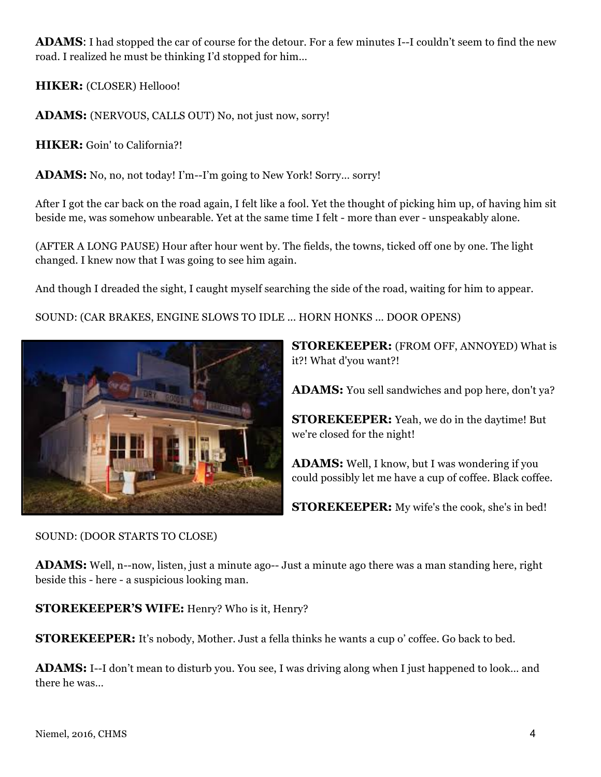**ADAMS**: I had stopped the car of course for the detour. For a few minutes I--I couldn't seem to find the new road. I realized he must be thinking I'd stopped for him…

**HIKER:** (CLOSER) Hellooo!

**ADAMS:** (NERVOUS, CALLS OUT) No, not just now, sorry!

**HIKER:** Goin' to California?!

**ADAMS:** No, no, not today! I'm--I'm going to New York! Sorry… sorry!

After I got the car back on the road again, I felt like a fool. Yet the thought of picking him up, of having him sit beside me, was somehow unbearable. Yet at the same time I felt - more than ever - unspeakably alone.

(AFTER A LONG PAUSE) Hour after hour went by. The fields, the towns, ticked off one by one. The light changed. I knew now that I was going to see him again.

And though I dreaded the sight, I caught myself searching the side of the road, waiting for him to appear.

SOUND: (CAR BRAKES, ENGINE SLOWS TO IDLE ... HORN HONKS ... DOOR OPENS)



**STOREKEEPER:** (FROM OFF, ANNOYED) What is it?! What d'you want?!

**ADAMS:** You sell sandwiches and pop here, don't ya?

**STOREKEEPER:** Yeah, we do in the daytime! But we're closed for the night!

**ADAMS:** Well, I know, but I was wondering if you could possibly let me have a cup of coffee. Black coffee.

**STOREKEEPER:** My wife's the cook, she's in bed!

SOUND: (DOOR STARTS TO CLOSE)

**ADAMS:** Well, n--now, listen, just a minute ago-- Just a minute ago there was a man standing here, right beside this - here - a suspicious looking man.

**STOREKEEPER'S WIFE:** Henry? Who is it, Henry?

**STOREKEEPER:** It's nobody, Mother. Just a fella thinks he wants a cup o' coffee. Go back to bed.

**ADAMS:** I--I don't mean to disturb you. You see, I was driving along when I just happened to look… and there he was…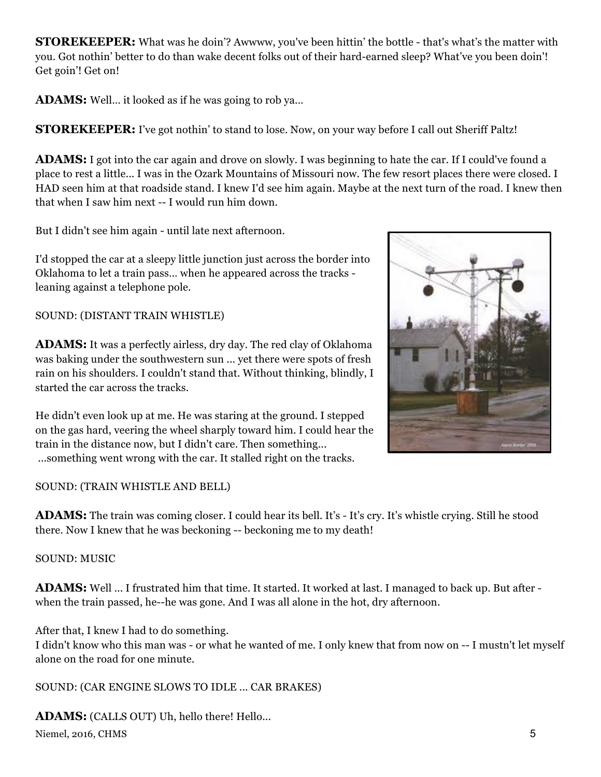**STOREKEEPER:** What was he doin'? Awwww, you've been hittin' the bottle - that's what's the matter with you. Got nothin' better to do than wake decent folks out of their hard-earned sleep? What've you been doin'! Get goin'! Get on!

**ADAMS:** Well… it looked as if he was going to rob ya…

**STOREKEEPER:** I've got nothin' to stand to lose. Now, on your way before I call out Sheriff Paltz!

**ADAMS:** I got into the car again and drove on slowly. I was beginning to hate the car. If I could've found a place to rest a little... I was in the Ozark Mountains of Missouri now. The few resort places there were closed. I HAD seen him at that roadside stand. I knew I'd see him again. Maybe at the next turn of the road. I knew then that when I saw him next -- I would run him down.

But I didn't see him again - until late next afternoon.

I'd stopped the car at a sleepy little junction just across the border into Oklahoma to let a train pass… when he appeared across the tracks leaning against a telephone pole.

SOUND: (DISTANT TRAIN WHISTLE)

**ADAMS:** It was a perfectly airless, dry day. The red clay of Oklahoma was baking under the southwestern sun ... yet there were spots of fresh rain on his shoulders. I couldn't stand that. Without thinking, blindly, I started the car across the tracks.

He didn't even look up at me. He was staring at the ground. I stepped on the gas hard, veering the wheel sharply toward him. I could hear the train in the distance now, but I didn't care. Then something... ...something went wrong with the car. It stalled right on the tracks.

SOUND: (TRAIN WHISTLE AND BELL)

**ADAMS:** The train was coming closer. I could hear its bell. It's - It's cry. It's whistle crying. Still he stood there. Now I knew that he was beckoning -- beckoning me to my death!

SOUND: MUSIC

**ADAMS:** Well ... I frustrated him that time. It started. It worked at last. I managed to back up. But after when the train passed, he--he was gone. And I was all alone in the hot, dry afternoon.

After that, I knew I had to do something.

I didn't know who this man was - or what he wanted of me. I only knew that from now on -- I mustn't let myself alone on the road for one minute.

SOUND: (CAR ENGINE SLOWS TO IDLE ... CAR BRAKES)

Niemel, 2016, CHMS 5 **ADAMS:** (CALLS OUT) Uh, hello there! Hello...

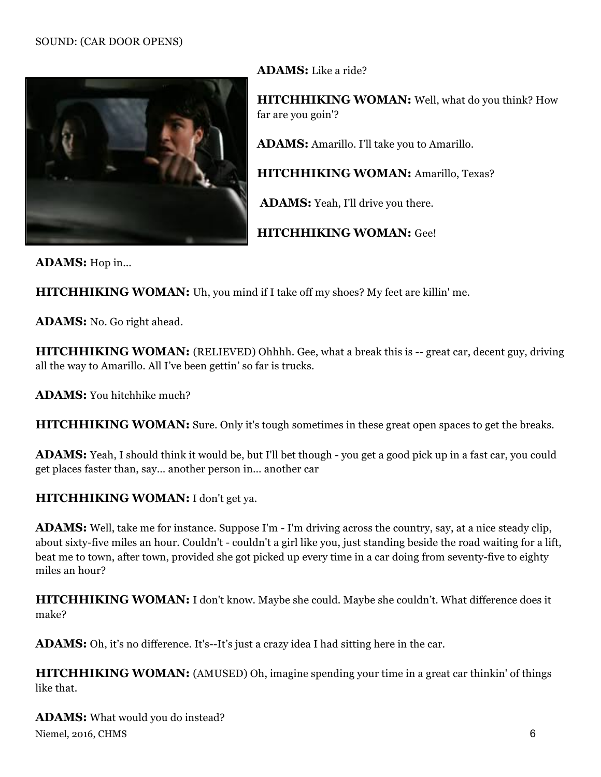

**ADAMS:** Like a ride?

**HITCHHIKING WOMAN:** Well, what do you think? How far are you goin'?

**ADAMS:** Amarillo. I'll take you to Amarillo.

**HITCHHIKING WOMAN:** Amarillo, Texas?

 **ADAMS:** Yeah, I'll drive you there.

**HITCHHIKING WOMAN:** Gee!

**ADAMS:** Hop in...

**HITCHHIKING WOMAN:** Uh, you mind if I take off my shoes? My feet are killin' me.

**ADAMS:** No. Go right ahead.

**HITCHHIKING WOMAN:** (RELIEVED) Ohhhh. Gee, what a break this is -- great car, decent guy, driving all the way to Amarillo. All I've been gettin' so far is trucks.

**ADAMS:** You hitchhike much?

**HITCHHIKING WOMAN:** Sure. Only it's tough sometimes in these great open spaces to get the breaks.

**ADAMS:** Yeah, I should think it would be, but I'll bet though - you get a good pick up in a fast car, you could get places faster than, say… another person in… another car

#### **HITCHHIKING WOMAN:** I don't get ya.

**ADAMS:** Well, take me for instance. Suppose I'm - I'm driving across the country, say, at a nice steady clip, about sixty-five miles an hour. Couldn't - couldn't a girl like you, just standing beside the road waiting for a lift, beat me to town, after town, provided she got picked up every time in a car doing from seventy-five to eighty miles an hour?

**HITCHHIKING WOMAN:** I don't know. Maybe she could. Maybe she couldn't. What difference does it make?

**ADAMS:** Oh, it's no difference. It's--It's just a crazy idea I had sitting here in the car.

**HITCHHIKING WOMAN:** (AMUSED) Oh, imagine spending your time in a great car thinkin' of things like that.

Niemel, 2016, CHMS 6 **ADAMS:** What would you do instead?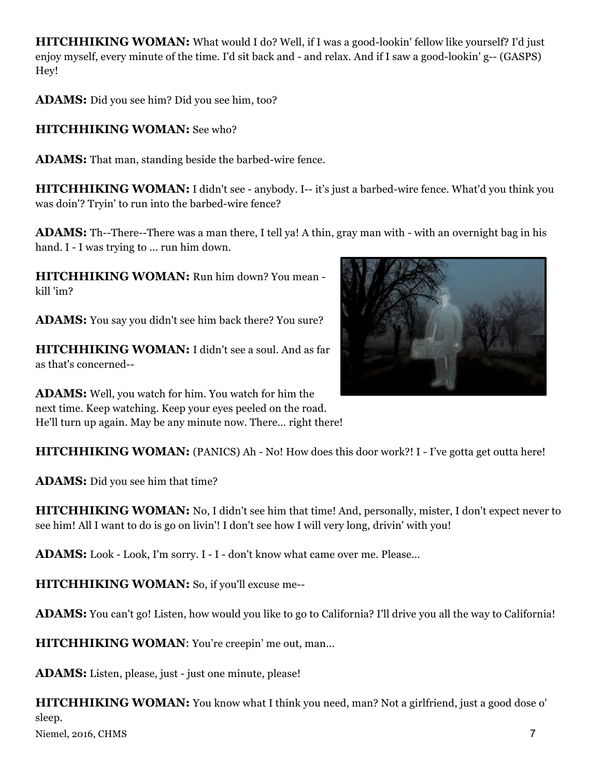**HITCHHIKING WOMAN:** What would I do? Well, if I was a good-lookin' fellow like yourself? I'd just enjoy myself, every minute of the time. I'd sit back and - and relax. And if I saw a good-lookin' g-- (GASPS) Hey!

**ADAMS:** Did you see him? Did you see him, too?

### **HITCHHIKING WOMAN:** See who?

**ADAMS:** That man, standing beside the barbed-wire fence.

**HITCHHIKING WOMAN:** I didn't see - anybody. I-- it's just a barbed-wire fence. What'd you think you was doin'? Tryin' to run into the barbed-wire fence?

**ADAMS:** Th--There--There was a man there, I tell ya! A thin, gray man with - with an overnight bag in his hand. I - I was trying to ... run him down.

**HITCHHIKING WOMAN:** Run him down? You mean kill 'im?

**ADAMS:** You say you didn't see him back there? You sure?

**HITCHHIKING WOMAN:** I didn't see a soul. And as far as that's concerned--

**ADAMS:** Well, you watch for him. You watch for him the next time. Keep watching. Keep your eyes peeled on the road. He'll turn up again. May be any minute now. There… right there!

**HITCHHIKING WOMAN:** (PANICS) Ah - No! How does this door work?! I - I've gotta get outta here!

**ADAMS:** Did you see him that time?

**HITCHHIKING WOMAN:** No, I didn't see him that time! And, personally, mister, I don't expect never to see him! All I want to do is go on livin'! I don't see how I will very long, drivin' with you!

**ADAMS:** Look - Look, I'm sorry. I - I - don't know what came over me. Please...

**HITCHHIKING WOMAN:** So, if you'll excuse me--

**ADAMS:** You can't go! Listen, how would you like to go to California? I'll drive you all the way to California!

**HITCHHIKING WOMAN:** You're creepin' me out, man...

**ADAMS:** Listen, please, just - just one minute, please!

**HITCHHIKING WOMAN:** You know what I think you need, man? Not a girlfriend, just a good dose o' sleep.

Niemel, 2016, CHMS 7

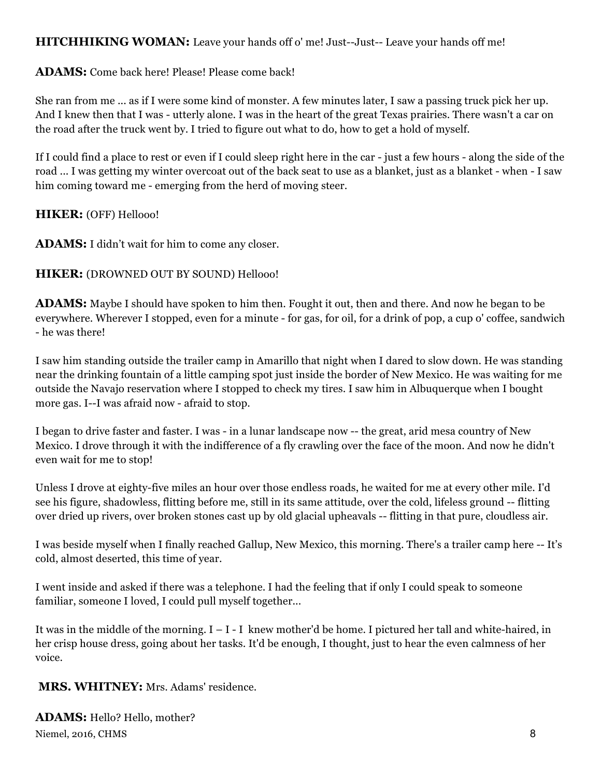#### **HITCHHIKING WOMAN:** Leave your hands off o' me! Just--Just-- Leave your hands off me!

#### **ADAMS:** Come back here! Please! Please come back!

She ran from me ... as if I were some kind of monster. A few minutes later, I saw a passing truck pick her up. And I knew then that I was - utterly alone. I was in the heart of the great Texas prairies. There wasn't a car on the road after the truck went by. I tried to figure out what to do, how to get a hold of myself.

If I could find a place to rest or even if I could sleep right here in the car - just a few hours - along the side of the road ... I was getting my winter overcoat out of the back seat to use as a blanket, just as a blanket - when - I saw him coming toward me - emerging from the herd of moving steer.

#### **HIKER:** (OFF) Hellooo!

**ADAMS:** I didn't wait for him to come any closer.

#### **HIKER:** (DROWNED OUT BY SOUND) Hellooo!

**ADAMS:** Maybe I should have spoken to him then. Fought it out, then and there. And now he began to be everywhere. Wherever I stopped, even for a minute - for gas, for oil, for a drink of pop, a cup o' coffee, sandwich - he was there!

I saw him standing outside the trailer camp in Amarillo that night when I dared to slow down. He was standing near the drinking fountain of a little camping spot just inside the border of New Mexico. He was waiting for me outside the Navajo reservation where I stopped to check my tires. I saw him in Albuquerque when I bought more gas. I--I was afraid now - afraid to stop.

I began to drive faster and faster. I was - in a lunar landscape now -- the great, arid mesa country of New Mexico. I drove through it with the indifference of a fly crawling over the face of the moon. And now he didn't even wait for me to stop!

Unless I drove at eighty-five miles an hour over those endless roads, he waited for me at every other mile. I'd see his figure, shadowless, flitting before me, still in its same attitude, over the cold, lifeless ground -- flitting over dried up rivers, over broken stones cast up by old glacial upheavals -- flitting in that pure, cloudless air.

I was beside myself when I finally reached Gallup, New Mexico, this morning. There's a trailer camp here -- It's cold, almost deserted, this time of year.

I went inside and asked if there was a telephone. I had the feeling that if only I could speak to someone familiar, someone I loved, I could pull myself together...

It was in the middle of the morning.  $I - I - I$  knew mother'd be home. I pictured her tall and white-haired, in her crisp house dress, going about her tasks. It'd be enough, I thought, just to hear the even calmness of her voice.

#### **MRS. WHITNEY:** Mrs. Adams' residence.

Niemel, 2016, CHMS 8 **ADAMS:** Hello? Hello, mother?